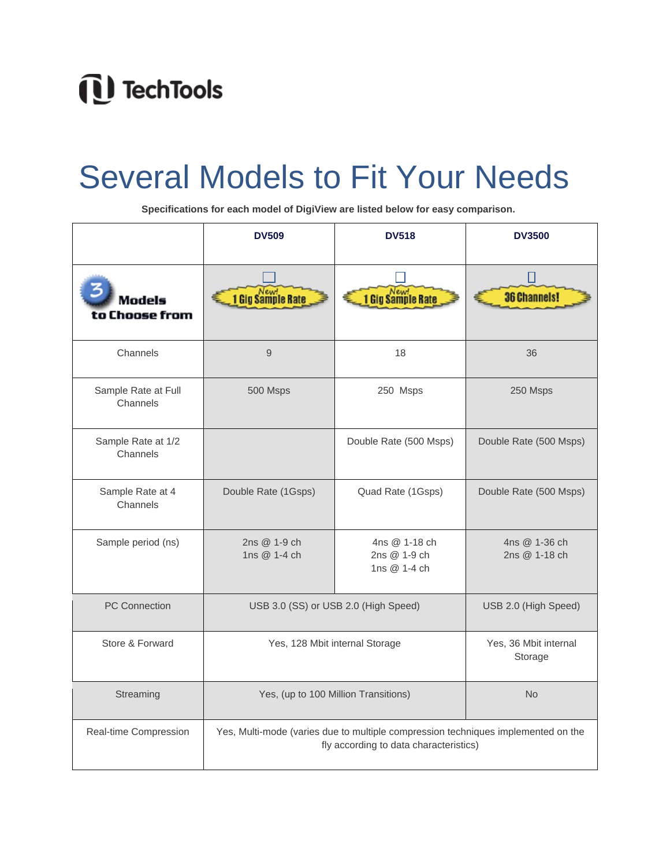## 1<sup>1</sup> TechTools

## Several Models to Fit Your Needs

 **Specifications for each model of DigiView are listed below for easy comparison.**

|                                 | <b>DV509</b>                                                                                                                | <b>DV518</b>                                  | <b>DV3500</b>                    |
|---------------------------------|-----------------------------------------------------------------------------------------------------------------------------|-----------------------------------------------|----------------------------------|
| Models<br>to Choose from        | 1 Gig Sample Rate                                                                                                           | 1 Gig Sample Rate                             | <b>36 Channels!</b>              |
| Channels                        | 9                                                                                                                           | 18                                            | 36                               |
| Sample Rate at Full<br>Channels | 500 Msps                                                                                                                    | 250 Msps                                      | 250 Msps                         |
| Sample Rate at 1/2<br>Channels  |                                                                                                                             | Double Rate (500 Msps)                        | Double Rate (500 Msps)           |
| Sample Rate at 4<br>Channels    | Double Rate (1Gsps)                                                                                                         | Quad Rate (1Gsps)                             | Double Rate (500 Msps)           |
| Sample period (ns)              | 2ns @ 1-9 ch<br>1ns @ 1-4 ch                                                                                                | 4ns @ 1-18 ch<br>2ns @ 1-9 ch<br>1ns @ 1-4 ch | 4ns @ 1-36 ch<br>2ns @ 1-18 ch   |
| <b>PC Connection</b>            | USB 3.0 (SS) or USB 2.0 (High Speed)                                                                                        |                                               | USB 2.0 (High Speed)             |
| Store & Forward                 | Yes, 128 Mbit internal Storage                                                                                              |                                               | Yes, 36 Mbit internal<br>Storage |
| Streaming                       | Yes, (up to 100 Million Transitions)                                                                                        |                                               | <b>No</b>                        |
| Real-time Compression           | Yes, Multi-mode (varies due to multiple compression techniques implemented on the<br>fly according to data characteristics) |                                               |                                  |